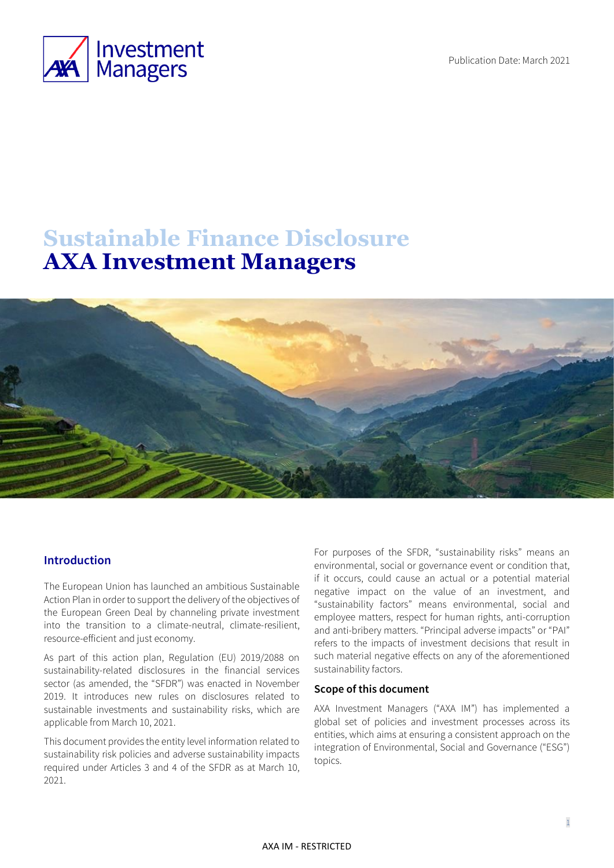Publication Date: March 2021



# **Sustainable Finance Disclosure AXA Investment Managers**



#### **Introduction**

The European Union has launched an ambitious Sustainable Action Plan in order to support the delivery of the objectives of the European Green Deal by channeling private investment into the transition to a climate-neutral, climate-resilient, resource-efficient and just economy.

As part of this action plan, Regulation (EU) 2019/2088 on sustainability-related disclosures in the financial services sector (as amended, the "SFDR") was enacted in November 2019. It introduces new rules on disclosures related to sustainable investments and sustainability risks, which are applicable from March 10, 2021.

This document provides the entity level information related to sustainability risk policies and adverse sustainability impacts required under Articles 3 and 4 of the SFDR as at March 10, 2021.

For purposes of the SFDR, "sustainability risks" means an environmental, social or governance event or condition that, if it occurs, could cause an actual or a potential material negative impact on the value of an investment, and "sustainability factors" means environmental, social and employee matters, respect for human rights, anti-corruption and anti-bribery matters. "Principal adverse impacts" or "PAI" refers to the impacts of investment decisions that result in such material negative effects on any of the aforementioned sustainability factors.

#### **Scope of this document**

AXA Investment Managers ("AXA IM") has implemented a global set of policies and investment processes across its entities, which aims at ensuring a consistent approach on the integration of Environmental, Social and Governance ("ESG") topics.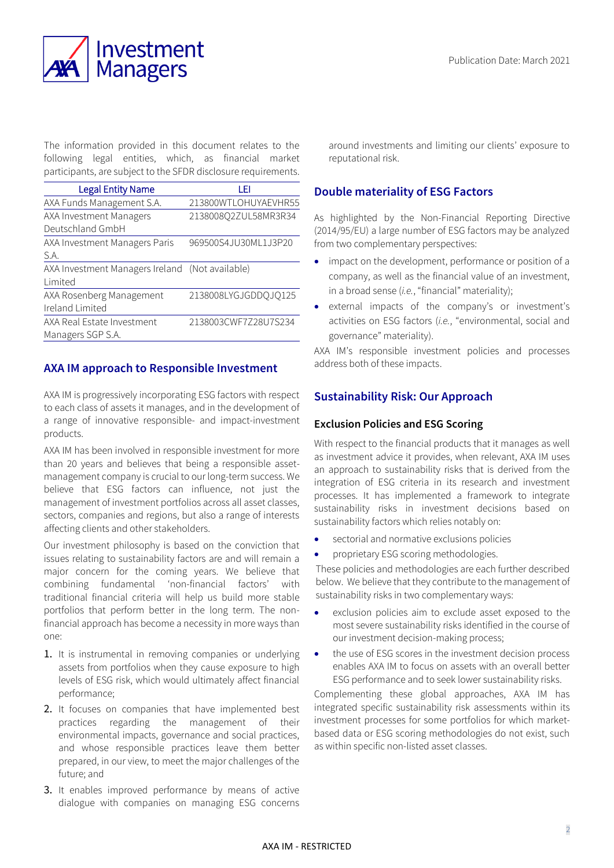

The information provided in this document relates to the following legal entities, which, as financial market participants, are subject to the SFDR disclosure requirements.

| <b>Legal Entity Name</b>                        | LEI                  |
|-------------------------------------------------|----------------------|
| AXA Funds Management S.A.                       | 213800WTLOHUYAEVHR55 |
| AXA Investment Managers                         | 2138008Q2ZUL58MR3R34 |
| Deutschland GmbH                                |                      |
| AXA Investment Managers Paris                   | 969500S4JU30ML1J3P20 |
| S.A.                                            |                      |
| AXA Investment Managers Ireland (Not available) |                      |
| Limited                                         |                      |
| AXA Rosenberg Management                        | 2138008LYGJGDDQJQ125 |
| Ireland Limited                                 |                      |
| AXA Real Estate Investment                      | 2138003CWF7Z28U7S234 |
| Managers SGP S.A.                               |                      |

## **AXA IM approach to Responsible Investment**

AXA IM is progressively incorporating ESG factors with respect to each class of assets it manages, and in the development of a range of innovative responsible- and impact-investment products.

AXA IM has been involved in responsible investment for more than 20 years and believes that being a responsible assetmanagement company is crucial to our long-term success. We believe that ESG factors can influence, not just the management of investment portfolios across all asset classes, sectors, companies and regions, but also a range of interests affecting clients and other stakeholders.

Our investment philosophy is based on the conviction that issues relating to sustainability factors are and will remain a major concern for the coming years. We believe that combining fundamental 'non-financial factors' with traditional financial criteria will help us build more stable portfolios that perform better in the long term. The nonfinancial approach has become a necessity in more ways than one:

- 1. It is instrumental in removing companies or underlying assets from portfolios when they cause exposure to high levels of ESG risk, which would ultimately affect financial performance;
- 2. It focuses on companies that have implemented best practices regarding the management of their environmental impacts, governance and social practices, and whose responsible practices leave them better prepared, in our view, to meet the major challenges of the future; and
- 3. It enables improved performance by means of active dialogue with companies on managing ESG concerns

around investments and limiting our clients' exposure to reputational risk.

# **Double materiality of ESG Factors**

As highlighted by the Non-Financial Reporting Directive (2014/95/EU) a large number of ESG factors may be analyzed from two complementary perspectives:

- impact on the development, performance or position of a company, as well as the financial value of an investment, in a broad sense (*i.e.*, "financial" materiality);
- external impacts of the company's or investment's activities on ESG factors (*i.e.*, "environmental, social and governance" materiality).

AXA IM's responsible investment policies and processes address both of these impacts.

## **Sustainability Risk: Our Approach**

#### **Exclusion Policies and ESG Scoring**

With respect to the financial products that it manages as well as investment advice it provides, when relevant, AXA IM uses an approach to sustainability risks that is derived from the integration of ESG criteria in its research and investment processes. It has implemented a framework to integrate sustainability risks in investment decisions based on sustainability factors which relies notably on:

- sectorial and normative exclusions policies
- proprietary ESG scoring methodologies.

These policies and methodologies are each further described below. We believe that they contribute to the management of sustainability risks in two complementary ways:

- exclusion policies aim to exclude asset exposed to the most severe sustainability risks identified in the course of our investment decision-making process;
- the use of ESG scores in the investment decision process enables AXA IM to focus on assets with an overall better ESG performance and to seek lower sustainability risks.

Complementing these global approaches, AXA IM has integrated specific sustainability risk assessments within its investment processes for some portfolios for which marketbased data or ESG scoring methodologies do not exist, such as within specific non-listed asset classes.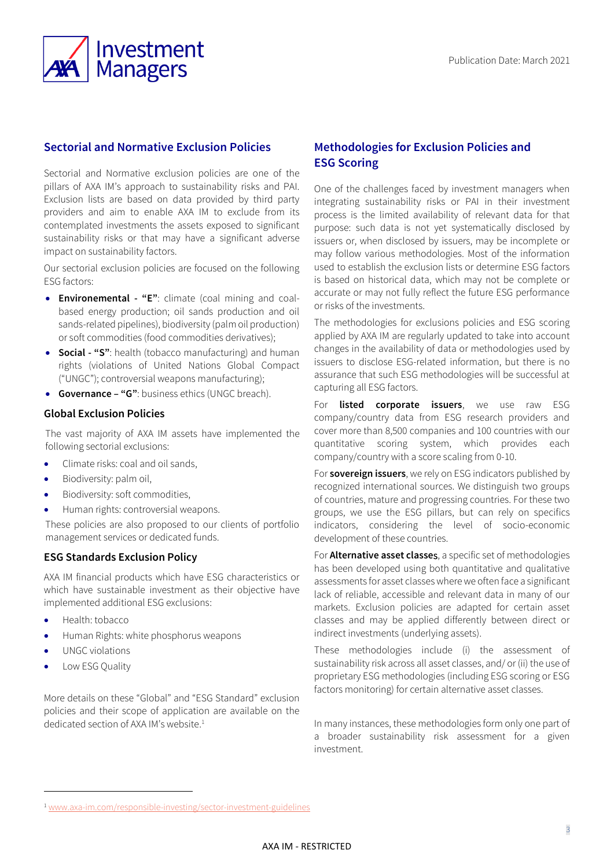

# **Sectorial and Normative Exclusion Policies**

Sectorial and Normative exclusion policies are one of the pillars of AXA IM's approach to sustainability risks and PAI. Exclusion lists are based on data provided by third party providers and aim to enable AXA IM to exclude from its contemplated investments the assets exposed to significant sustainability risks or that may have a significant adverse impact on sustainability factors.

Our sectorial exclusion policies are focused on the following ESG factors:

- **Environemental - "E"**: climate (coal mining and coalbased energy production; oil sands production and oil sands-related pipelines), biodiversity (palm oil production) or soft commodities (food commodities derivatives);
- **Social - "S"**: health (tobacco manufacturing) and human rights (violations of United Nations Global Compact ("UNGC"); controversial weapons manufacturing);
- **Governance – "G"**: business ethics (UNGC breach).

#### **Global Exclusion Policies**

The vast majority of AXA IM assets have implemented the following sectorial exclusions:

- Climate risks: coal and oil sands
- Biodiversity: palm oil,
- Biodiversity: soft commodities,
- Human rights: controversial weapons.

These policies are also proposed to our clients of portfolio management services or dedicated funds.

#### **ESG Standards Exclusion Policy**

AXA IM financial products which have ESG characteristics or which have sustainable investment as their objective have implemented additional ESG exclusions:

- Health: tobacco
- Human Rights: white phosphorus weapons
- UNGC violations
- Low ESG Quality

More details on these "Global" and "ESG Standard" exclusion policies and their scope of application are available on the dedicated section of AXA IM's website. 1

# **Methodologies for Exclusion Policies and ESG Scoring**

One of the challenges faced by investment managers when integrating sustainability risks or PAI in their investment process is the limited availability of relevant data for that purpose: such data is not yet systematically disclosed by issuers or, when disclosed by issuers, may be incomplete or may follow various methodologies. Most of the information used to establish the exclusion lists or determine ESG factors is based on historical data, which may not be complete or accurate or may not fully reflect the future ESG performance or risks of the investments.

The methodologies for exclusions policies and ESG scoring applied by AXA IM are regularly updated to take into account changes in the availability of data or methodologies used by issuers to disclose ESG-related information, but there is no assurance that such ESG methodologies will be successful at capturing all ESG factors.

For **listed corporate issuers**, we use raw ESG company/country data from ESG research providers and cover more than 8,500 companies and 100 countries with our quantitative scoring system, which provides each company/country with a score scaling from 0-10.

For **sovereign issuers**, we rely on ESG indicators published by recognized international sources. We distinguish two groups of countries, mature and progressing countries. For these two groups, we use the ESG pillars, but can rely on specifics indicators, considering the level of socio-economic development of these countries.

For **Alternative asset classe**s, a specific set of methodologies has been developed using both quantitative and qualitative assessments for asset classes where we often face a significant lack of reliable, accessible and relevant data in many of our markets. Exclusion policies are adapted for certain asset classes and may be applied differently between direct or indirect investments (underlying assets).

These methodologies include (i) the assessment of sustainability risk across all asset classes, and/ or (ii) the use of proprietary ESG methodologies (including ESG scoring or ESG factors monitoring) for certain alternative asset classes.

In many instances, these methodologies form only one part of a broader sustainability risk assessment for a given investment.

<sup>&</sup>lt;sup>1</sup> [www.axa-im.com/responsible-investing/sector-investment-guidelines](http://www.axa-im.com/responsible-investing/sector-investment-guidelines)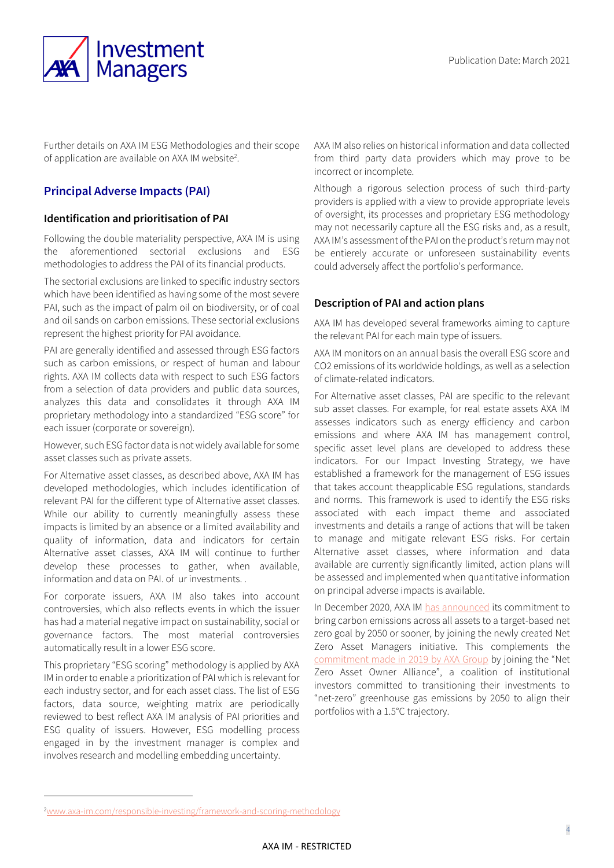

Further details on AXA IM ESG Methodologies and their scope of application are available on AXA IM website<sup>2</sup>.

# **Principal Adverse Impacts (PAI)**

#### **Identification and prioritisation of PAI**

Following the double materiality perspective, AXA IM is using the aforementioned sectorial exclusions and ESG methodologies to address the PAI of its financial products.

The sectorial exclusions are linked to specific industry sectors which have been identified as having some of the most severe PAI, such as the impact of palm oil on biodiversity, or of coal and oil sands on carbon emissions. These sectorial exclusions represent the highest priority for PAI avoidance.

PAI are generally identified and assessed through ESG factors such as carbon emissions, or respect of human and labour rights. AXA IM collects data with respect to such ESG factors from a selection of data providers and public data sources, analyzes this data and consolidates it through AXA IM proprietary methodology into a standardized "ESG score" for each issuer (corporate or sovereign).

However, such ESG factor data is not widely available for some asset classes such as private assets.

For Alternative asset classes, as described above, AXA IM has developed methodologies, which includes identification of relevant PAI for the different type of Alternative asset classes. While our ability to currently meaningfully assess these impacts is limited by an absence or a limited availability and quality of information, data and indicators for certain Alternative asset classes, AXA IM will continue to further develop these processes to gather, when available, information and data on PAI. of ur investments. .

For corporate issuers, AXA IM also takes into account controversies, which also reflects events in which the issuer has had a material negative impact on sustainability, social or governance factors. The most material controversies automatically result in a lower ESG score.

This proprietary "ESG scoring" methodology is applied by AXA IM in order to enable a prioritization of PAI which is relevant for each industry sector, and for each asset class. The list of ESG factors, data source, weighting matrix are periodically reviewed to best reflect AXA IM analysis of PAI priorities and ESG quality of issuers. However, ESG modelling process engaged in by the investment manager is complex and involves research and modelling embedding uncertainty.

AXA IM also relies on historical information and data collected from third party data providers which may prove to be incorrect or incomplete.

Although a rigorous selection process of such third-party providers is applied with a view to provide appropriate levels of oversight, its processes and proprietary ESG methodology may not necessarily capture all the ESG risks and, as a result, AXA IM's assessment of the PAI on the product's return may not be entierely accurate or unforeseen sustainability events could adversely affect the portfolio's performance.

## **Description of PAI and action plans**

AXA IM has developed several frameworks aiming to capture the relevant PAI for each main type of issuers.

AXA IM monitors on an annual basis the overall ESG score and CO2 emissions of its worldwide holdings, as well as a selection of climate-related indicators.

For Alternative asset classes, PAI are specific to the relevant sub asset classes. For example, for real estate assets AXA IM assesses indicators such as energy efficiency and carbon emissions and where AXA IM has management control, specific asset level plans are developed to address these indicators. For our Impact Investing Strategy, we have established a framework for the management of ESG issues that takes account theapplicable ESG regulations, standards and norms. This framework is used to identify the ESG risks associated with each impact theme and associated investments and details a range of actions that will be taken to manage and mitigate relevant ESG risks. For certain Alternative asset classes, where information and data available are currently significantly limited, action plans will be assessed and implemented when quantitative information on principal adverse impacts is available.

In December 2020, AXA IM [has announced](https://www.axa-im.com/content/-/asset_publisher/alpeXKk1gk2N/content/axa-im-to-join-the-net-zero-asset-managers-initiative-and-to-commit-to-net-zero-emissions-goal/23818) its commitment to bring carbon emissions across all assets to a target-based net zero goal by 2050 or sooner, by joining the newly created Net Zero Asset Managers initiative. This complements the [commitment made in 2019 by AXA Group](https://www.axa.com/en/press/press-releases/axa-launches-a-new-phase-in-its-climate-strategy-to-accelerate-its-contribution-to-a-low-carbon-and-more-resilient-economy) by joining the "Net Zero Asset Owner Alliance", a coalition of institutional investors committed to transitioning their investments to "net-zero" greenhouse gas emissions by 2050 to align their portfolios with a 1.5°C trajectory.

<sup>2</sup>[www.axa-im.com/responsible-investing/framework-and-scoring-methodology](http://www.axa-im.com/responsible-investing/framework-and-scoring-methodology)